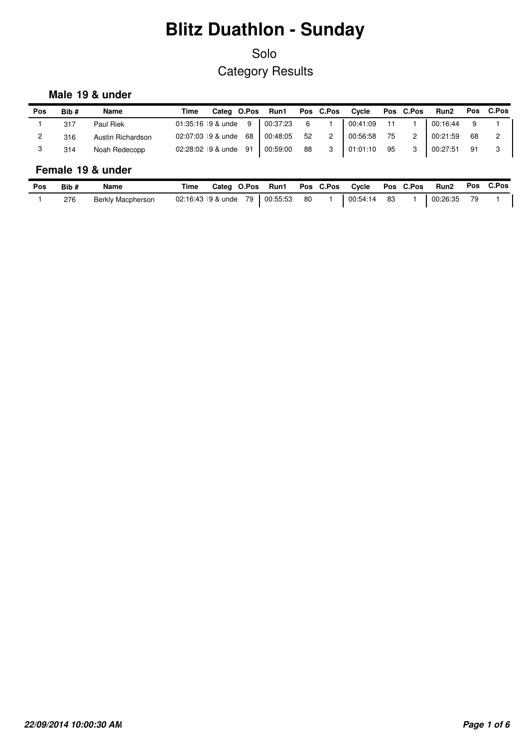## Solo Category Results

### **Male 19 & under**

| Pos            | Bib# | Name              | Time |  |  | Categ O.Pos Run1 Pos C.Pos Cycle Pos C.Pos                           |  | Run2 Pos C.Pos |  |
|----------------|------|-------------------|------|--|--|----------------------------------------------------------------------|--|----------------|--|
|                | 317  | Paul Riek         |      |  |  | 01:35:16 9 & unde 9   00:37:23 6 1   00:41:09 11 1   00:16:44 9      |  |                |  |
| $\overline{2}$ | 316  | Austin Richardson |      |  |  | 02:07:03 9 & unde 68   00:48:05 52 2   00:56:58 75 2   00:21:59 68 2 |  |                |  |
|                | 314  | Noah Redecopp     |      |  |  | 02:28:02 9 & unde 91 00:59:00 88 3 01:01:10 95 3 00:27:51 91         |  |                |  |
|                |      |                   |      |  |  |                                                                      |  |                |  |

#### **Female 19 & under**

| Pos | Bib# | Name              | Time | Categ O.Pos | Run1                            |    | Pos C.Pos | Cycle    |    | Pos C.Pos | <b>Run2</b> | Pos | C.Pos |
|-----|------|-------------------|------|-------------|---------------------------------|----|-----------|----------|----|-----------|-------------|-----|-------|
|     | 276  | Berkly Macpherson |      |             | 02:16:43 9 & unde 79   00:55:53 | 80 |           | 00:54:14 | 83 |           | 00:26:35    |     |       |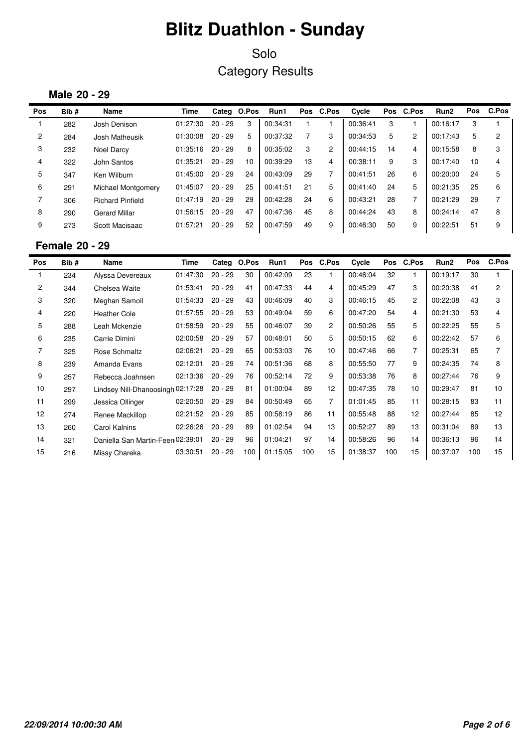### Solo Category Results

#### **Male 20 - 29**

| Pos            | Bib# | Name                    | Time     |           | Categ O.Pos | Run1     |    | Pos C.Pos      | Cycle    |    | Pos C.Pos      | Run <sub>2</sub> | <b>Pos</b> | C.Pos          |
|----------------|------|-------------------------|----------|-----------|-------------|----------|----|----------------|----------|----|----------------|------------------|------------|----------------|
|                | 282  | Josh Denison            | 01:27:30 | $20 - 29$ | 3           | 00:34:31 |    |                | 00:36:41 | 3  |                | 00:16:17         | 3          |                |
| $\overline{2}$ | 284  | Josh Matheusik          | 01:30:08 | $20 - 29$ | 5           | 00:37:32 |    | 3              | 00:34:53 | 5  | $\overline{c}$ | 00:17:43         | 5          | $\overline{c}$ |
| 3              | 232  | Noel Darcy              | 01:35:16 | $20 - 29$ | 8           | 00:35:02 | 3  | $\overline{c}$ | 00:44:15 | 14 | 4              | 00:15:58         | 8          | 3              |
| 4              | 322  | John Santos             | 01:35:21 | $20 - 29$ | 10          | 00:39:29 | 13 | 4              | 00:38:11 | 9  | 3              | 00:17:40         | 10         | 4              |
| 5              | 347  | Ken Wilburn             | 01:45:00 | $20 - 29$ | 24          | 00:43:09 | 29 | $\overline{ }$ | 00:41:51 | 26 | 6              | 00:20:00         | 24         | 5              |
| 6              | 291  | Michael Montgomery      | 01:45:07 | $20 - 29$ | 25          | 00:41:51 | 21 | 5              | 00:41:40 | 24 | 5              | 00:21:35         | 25         | 6              |
|                | 306  | <b>Richard Pinfield</b> | 01:47:19 | $20 - 29$ | 29          | 00:42:28 | 24 | 6              | 00:43:21 | 28 | ⇁              | 00:21:29         | 29         | 7              |
| 8              | 290  | <b>Gerard Millar</b>    | 01:56:15 | $20 - 29$ | 47          | 00:47:36 | 45 | 8              | 00:44:24 | 43 | 8              | 00:24:14         | 47         | 8              |
| 9              | 273  | Scott Macisaac          | 01:57:21 | $20 - 29$ | 52          | 00:47:59 | 49 | 9              | 00:46:30 | 50 | 9              | 00:22:51         | 51         | 9              |

#### **Female 20 - 29**

| Pos            | Bib# | Name                              | Time     | Categ     | O.Pos | Run1     |     | Pos C.Pos      | Cycle    | Pos | C.Pos          | Run <sub>2</sub> | <b>Pos</b> | C.Pos |
|----------------|------|-----------------------------------|----------|-----------|-------|----------|-----|----------------|----------|-----|----------------|------------------|------------|-------|
|                | 234  | Alyssa Devereaux                  | 01:47:30 | $20 - 29$ | 30    | 00:42:09 | 23  |                | 00:46:04 | 32  |                | 00:19:17         | 30         |       |
| $\overline{2}$ | 344  | Chelsea Waite                     | 01:53:41 | $20 - 29$ | 41    | 00:47:33 | 44  | 4              | 00:45:29 | 47  | 3              | 00:20:38         | 41         | 2     |
| 3              | 320  | Meghan Samoil                     | 01:54:33 | $20 - 29$ | 43    | 00:46:09 | 40  | 3              | 00:46:15 | 45  | $\mathbf{2}$   | 00:22:08         | 43         | 3     |
| 4              | 220  | <b>Heather Cole</b>               | 01:57:55 | $20 - 29$ | 53    | 00:49:04 | 59  | 6              | 00:47:20 | 54  | 4              | 00:21:30         | 53         | 4     |
| 5              | 288  | Leah Mckenzie                     | 01:58:59 | $20 - 29$ | 55    | 00:46:07 | 39  | $\overline{2}$ | 00:50:26 | 55  | 5              | 00:22:25         | 55         | 5     |
| 6              | 235  | Carrie Dimini                     | 02:00:58 | $20 - 29$ | 57    | 00:48:01 | 50  | 5              | 00:50:15 | 62  | 6              | 00:22:42         | 57         | 6     |
| 7              | 325  | Rose Schmaltz                     | 02:06:21 | $20 - 29$ | 65    | 00:53:03 | 76  | 10             | 00:47:46 | 66  | $\overline{7}$ | 00:25:31         | 65         |       |
| 8              | 239  | Amanda Evans                      | 02:12:01 | $20 - 29$ | 74    | 00:51:36 | 68  | 8              | 00:55:50 | 77  | 9              | 00:24:35         | 74         | 8     |
| 9              | 257  | Rebecca Joahnsen                  | 02:13:36 | $20 - 29$ | 76    | 00:52:14 | 72  | 9              | 00:53:38 | 76  | 8              | 00:27:44         | 76         | 9     |
| 10             | 297  | Lindsey Nill-Dhanoosingh 02:17:28 |          | $20 - 29$ | 81    | 01:00:04 | 89  | 12             | 00:47:35 | 78  | 10             | 00:29:47         | 81         | 10    |
| 11             | 299  | Jessica Ollinger                  | 02:20:50 | $20 - 29$ | 84    | 00:50:49 | 65  | $\overline{7}$ | 01:01:45 | 85  | 11             | 00:28:15         | 83         | 11    |
| 12             | 274  | Renee Mackillop                   | 02:21:52 | $20 - 29$ | 85    | 00:58:19 | 86  | 11             | 00:55:48 | 88  | 12             | 00:27:44         | 85         | 12    |
| 13             | 260  | <b>Carol Kalnins</b>              | 02:26:26 | $20 - 29$ | 89    | 01:02:54 | 94  | 13             | 00:52:27 | 89  | 13             | 00:31:04         | 89         | 13    |
| 14             | 321  | Daniella San Martin-Feen 02:39:01 |          | $20 - 29$ | 96    | 01:04:21 | 97  | 14             | 00:58:26 | 96  | 14             | 00:36:13         | 96         | 14    |
| 15             | 216  | Missy Chareka                     | 03:30:51 | $20 - 29$ | 100   | 01:15:05 | 100 | 15             | 01:38:37 | 100 | 15             | 00:37:07         | 100        | 15    |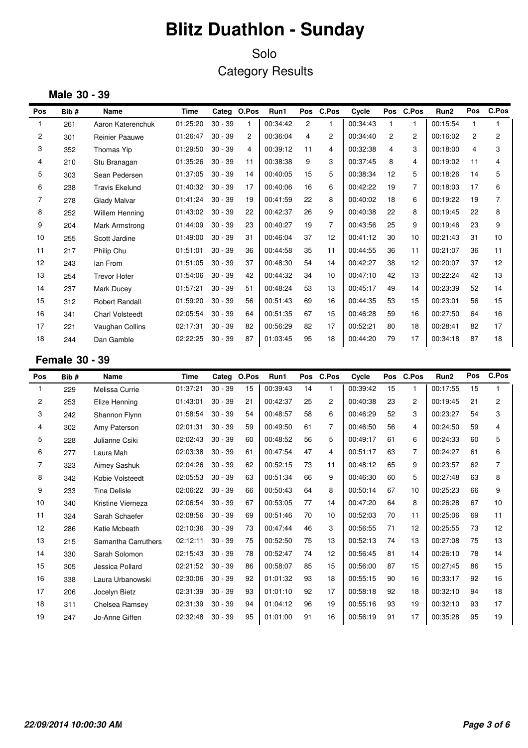Solo Category Results

### **Male 30 - 39**

| Pos            | Bib# | Name                   | Time     | Categ     | O.Pos          | Run1     | <b>Pos</b>     | <b>C.Pos</b>   | Cycle    |                | Pos C.Pos      | Run <sub>2</sub> | Pos | C.Pos |
|----------------|------|------------------------|----------|-----------|----------------|----------|----------------|----------------|----------|----------------|----------------|------------------|-----|-------|
|                | 261  | Aaron Katerenchuk      | 01:25:20 | $30 - 39$ | $\mathbf{1}$   | 00:34:42 | $\overline{2}$ |                | 00:34:43 | 1              |                | 00:15:54         |     |       |
| 2              | 301  | Reinier Paauwe         | 01:26:47 | $30 - 39$ | $\overline{c}$ | 00:36:04 | 4              | $\overline{2}$ | 00:34:40 | $\overline{2}$ | $\mathbf{2}$   | 00:16:02         | 2   | 2     |
| 3              | 352  | Thomas Yip             | 01:29:50 | $30 - 39$ | 4              | 00:39:12 | 11             | 4              | 00:32:38 | 4              | 3              | 00:18:00         | 4   | 3     |
| 4              | 210  | Stu Branagan           | 01:35:26 | $30 - 39$ | 11             | 00:38:38 | 9              | 3              | 00:37:45 | 8              | 4              | 00:19:02         | 11  | 4     |
| 5              | 303  | Sean Pedersen          | 01:37:05 | $30 - 39$ | 14             | 00:40:05 | 15             | 5              | 00:38:34 | 12             | 5              | 00:18:26         | 14  | 5     |
| 6              | 238  | <b>Travis Ekelund</b>  | 01:40:32 | $30 - 39$ | 17             | 00:40:06 | 16             | 6              | 00:42:22 | 19             | $\overline{7}$ | 00:18:03         | 17  | 6     |
| $\overline{7}$ | 278  | Glady Malvar           | 01:41:24 | $30 - 39$ | 19             | 00:41:59 | 22             | 8              | 00:40:02 | 18             | 6              | 00:19:22         | 19  | 7     |
| 8              | 252  | Willem Henning         | 01:43:02 | $30 - 39$ | 22             | 00:42:37 | 26             | 9              | 00:40:38 | 22             | 8              | 00:19:45         | 22  | 8     |
| 9              | 204  | Mark Armstrong         | 01:44:09 | $30 - 39$ | 23             | 00:40:27 | 19             | $\overline{7}$ | 00:43:56 | 25             | 9              | 00:19:46         | 23  | 9     |
| 10             | 255  | Scott Jardine          | 01:49:00 | $30 - 39$ | 31             | 00:46:04 | 37             | 12             | 00:41:12 | 30             | 10             | 00:21:43         | 31  | 10    |
| 11             | 217  | Philip Chu             | 01:51:01 | $30 - 39$ | 36             | 00:44:58 | 35             | 11             | 00:44:55 | 36             | 11             | 00:21:07         | 36  | 11    |
| 12             | 243  | Ian From               | 01:51:05 | $30 - 39$ | 37             | 00:48:30 | 54             | 14             | 00:42:27 | 38             | 12             | 00:20:07         | 37  | 12    |
| 13             | 254  | <b>Trevor Hofer</b>    | 01:54:06 | $30 - 39$ | 42             | 00:44:32 | 34             | 10             | 00:47:10 | 42             | 13             | 00:22:24         | 42  | 13    |
| 14             | 237  | Mark Ducey             | 01:57:21 | $30 - 39$ | 51             | 00:48:24 | 53             | 13             | 00:45:17 | 49             | 14             | 00:23:39         | 52  | 14    |
| 15             | 312  | <b>Robert Randall</b>  | 01:59:20 | $30 - 39$ | 56             | 00:51:43 | 69             | 16             | 00:44:35 | 53             | 15             | 00:23:01         | 56  | 15    |
| 16             | 341  | <b>Charl Volsteedt</b> | 02:05:54 | $30 - 39$ | 64             | 00:51:35 | 67             | 15             | 00:46:28 | 59             | 16             | 00:27:50         | 64  | 16    |
| 17             | 221  | Vaughan Collins        | 02:17:31 | $30 - 39$ | 82             | 00:56:29 | 82             | 17             | 00:52:21 | 80             | 18             | 00:28:41         | 82  | 17    |
| 18             | 244  | Dan Gamble             | 02:22:25 | $30 - 39$ | 87             | 01:03:45 | 95             | 18             | 00:44:20 | 79             | 17             | 00:34:18         | 87  | 18    |

### **Female 30 - 39**

| Pos | Bib# | Name                | <b>Time</b> | Categ     | O.Pos | Run1     | <b>Pos</b> | C.Pos          | Cycle    |    | Pos C.Pos      | Run <sub>2</sub> | Pos | C.Pos          |
|-----|------|---------------------|-------------|-----------|-------|----------|------------|----------------|----------|----|----------------|------------------|-----|----------------|
| 1   | 229  | Melissa Currie      | 01:37:21    | $30 - 39$ | 15    | 00:39:43 | 14         | 1              | 00:39:42 | 15 | 1              | 00:17:55         | 15  |                |
| 2   | 253  | Elize Henning       | 01:43:01    | $30 - 39$ | 21    | 00:42:37 | 25         | $\overline{2}$ | 00:40:38 | 23 | $\overline{2}$ | 00:19:45         | 21  | $\overline{c}$ |
| 3   | 242  | Shannon Flynn       | 01:58:54    | $30 - 39$ | 54    | 00:48:57 | 58         | 6              | 00:46:29 | 52 | 3              | 00:23:27         | 54  | 3              |
| 4   | 302  | Amy Paterson        | 02:01:31    | $30 - 39$ | 59    | 00:49:50 | 61         | $\overline{7}$ | 00:46:50 | 56 | 4              | 00:24:50         | 59  | 4              |
| 5   | 228  | Julianne Csiki      | 02:02:43    | $30 - 39$ | 60    | 00:48:52 | 56         | 5              | 00:49:17 | 61 | 6              | 00:24:33         | 60  | 5              |
| 6   | 277  | Laura Mah           | 02:03:38    | $30 - 39$ | 61    | 00:47:54 | 47         | 4              | 00:51:17 | 63 | 7              | 00:24:27         | 61  | 6              |
| 7   | 323  | Aimey Sashuk        | 02:04:26    | $30 - 39$ | 62    | 00:52:15 | 73         | 11             | 00:48:12 | 65 | 9              | 00:23:57         | 62  | 7              |
| 8   | 342  | Kobie Volsteedt     | 02:05:53    | $30 - 39$ | 63    | 00:51:34 | 66         | 9              | 00:46:30 | 60 | 5              | 00:27:48         | 63  | 8              |
| 9   | 233  | <b>Tina Delisle</b> | 02:06:22    | $30 - 39$ | 66    | 00:50:43 | 64         | 8              | 00:50:14 | 67 | 10             | 00:25:23         | 66  | 9              |
| 10  | 340  | Kristine Vierneza   | 02:06:54    | $30 - 39$ | 67    | 00:53:05 | 77         | 14             | 00:47:20 | 64 | 8              | 00:26:28         | 67  | 10             |
| 11  | 324  | Sarah Schaefer      | 02:08:56    | $30 - 39$ | 69    | 00:51:46 | 70         | 10             | 00:52:03 | 70 | 11             | 00:25:06         | 69  | 11             |
| 12  | 286  | Katie Mcbeath       | 02:10:36    | $30 - 39$ | 73    | 00:47:44 | 46         | 3              | 00:56:55 | 71 | 12             | 00:25:55         | 73  | 12             |
| 13  | 215  | Samantha Carruthers | 02:12:11    | $30 - 39$ | 75    | 00:52:50 | 75         | 13             | 00:52:13 | 74 | 13             | 00:27:08         | 75  | 13             |
| 14  | 330  | Sarah Solomon       | 02:15:43    | $30 - 39$ | 78    | 00:52:47 | 74         | 12             | 00:56:45 | 81 | 14             | 00:26:10         | 78  | 14             |
| 15  | 305  | Jessica Pollard     | 02:21:52    | $30 - 39$ | 86    | 00:58:07 | 85         | 15             | 00:56:00 | 87 | 15             | 00:27:45         | 86  | 15             |
| 16  | 338  | Laura Urbanowski    | 02:30:06    | $30 - 39$ | 92    | 01:01:32 | 93         | 18             | 00:55:15 | 90 | 16             | 00:33:17         | 92  | 16             |
| 17  | 206  | Jocelyn Bietz       | 02:31:39    | $30 - 39$ | 93    | 01:01:10 | 92         | 17             | 00:58:18 | 92 | 18             | 00:32:10         | 94  | 18             |
| 18  | 311  | Chelsea Ramsey      | 02:31:39    | $30 - 39$ | 94    | 01:04:12 | 96         | 19             | 00:55:16 | 93 | 19             | 00:32:10         | 93  | 17             |
| 19  | 247  | Jo-Anne Giffen      | 02:32:48    | $30 - 39$ | 95    | 01:01:00 | 91         | 16             | 00:56:19 | 91 | 17             | 00:35:28         | 95  | 19             |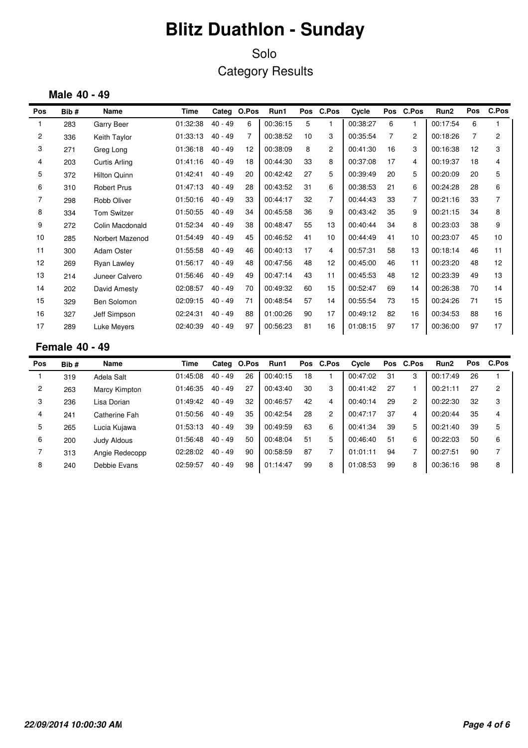Solo Category Results

#### **Male 40 - 49**

| <b>Pos</b>     | Bib# | Name                 | Time     |           | Categ O.Pos    | Run1     |    | Pos C.Pos      | Cycle    |                | Pos C.Pos      | Run <sub>2</sub> | Pos | C.Pos |
|----------------|------|----------------------|----------|-----------|----------------|----------|----|----------------|----------|----------------|----------------|------------------|-----|-------|
|                | 283  | Garry Beer           | 01:32:38 | $40 - 49$ | 6              | 00:36:15 | 5  | 1              | 00:38:27 | 6              | 1              | 00:17:54         | 6   |       |
| $\overline{c}$ | 336  | Keith Taylor         | 01:33:13 | $40 - 49$ | $\overline{7}$ | 00:38:52 | 10 | 3              | 00:35:54 | $\overline{7}$ | $\overline{2}$ | 00:18:26         | 7   | 2     |
| 3              | 271  | Greg Long            | 01:36:18 | $40 - 49$ | 12             | 00:38:09 | 8  | $\overline{2}$ | 00:41:30 | 16             | 3              | 00:16:38         | 12  | 3     |
| 4              | 203  | <b>Curtis Arling</b> | 01:41:16 | $40 - 49$ | 18             | 00:44:30 | 33 | 8              | 00:37:08 | 17             | 4              | 00:19:37         | 18  | 4     |
| 5              | 372  | <b>Hilton Quinn</b>  | 01:42:41 | $40 - 49$ | 20             | 00:42:42 | 27 | 5              | 00:39:49 | 20             | 5              | 00:20:09         | 20  | 5     |
| 6              | 310  | <b>Robert Prus</b>   | 01:47:13 | $40 - 49$ | 28             | 00:43:52 | 31 | 6              | 00:38:53 | 21             | 6              | 00:24:28         | 28  | 6     |
| $\overline{7}$ | 298  | Robb Oliver          | 01:50:16 | $40 - 49$ | 33             | 00:44:17 | 32 | $\overline{7}$ | 00:44:43 | 33             | $\overline{7}$ | 00:21:16         | 33  | 7     |
| 8              | 334  | <b>Tom Switzer</b>   | 01:50:55 | $40 - 49$ | 34             | 00:45:58 | 36 | 9              | 00:43:42 | 35             | 9              | 00:21:15         | 34  | 8     |
| 9              | 272  | Colin Macdonald      | 01:52:34 | $40 - 49$ | 38             | 00:48:47 | 55 | 13             | 00:40:44 | 34             | 8              | 00:23:03         | 38  | 9     |
| 10             | 285  | Norbert Mazenod      | 01:54:49 | $40 - 49$ | 45             | 00:46:52 | 41 | 10             | 00:44:49 | 41             | 10             | 00:23:07         | 45  | 10    |
| 11             | 300  | <b>Adam Oster</b>    | 01:55:58 | $40 - 49$ | 46             | 00:40:13 | 17 | 4              | 00:57:31 | 58             | 13             | 00:18:14         | 46  | 11    |
| 12             | 269  | <b>Ryan Lawley</b>   | 01:56:17 | $40 - 49$ | 48             | 00:47:56 | 48 | 12             | 00:45:00 | 46             | 11             | 00:23:20         | 48  | 12    |
| 13             | 214  | Juneer Calvero       | 01:56:46 | $40 - 49$ | 49             | 00:47:14 | 43 | 11             | 00:45:53 | 48             | 12             | 00:23:39         | 49  | 13    |
| 14             | 202  | David Amesty         | 02:08:57 | $40 - 49$ | 70             | 00:49:32 | 60 | 15             | 00:52:47 | 69             | 14             | 00:26:38         | 70  | 14    |
| 15             | 329  | Ben Solomon          | 02:09:15 | $40 - 49$ | 71             | 00:48:54 | 57 | 14             | 00:55:54 | 73             | 15             | 00:24:26         | 71  | 15    |
| 16             | 327  | Jeff Simpson         | 02:24:31 | $40 - 49$ | 88             | 01:00:26 | 90 | 17             | 00:49:12 | 82             | 16             | 00:34:53         | 88  | 16    |
| 17             | 289  | <b>Luke Meyers</b>   | 02:40:39 | $40 - 49$ | 97             | 00:56:23 | 81 | 16             | 01:08:15 | 97             | 17             | 00:36:00         | 97  | 17    |

### **Female 40 - 49**

| Pos            | Bib# | Name           | Time     |           | Categ O.Pos | Run1     |    | Pos C.Pos      | Cycle    | Pos | C.Pos | Run <sub>2</sub> | <b>Pos</b> | C.Pos |
|----------------|------|----------------|----------|-----------|-------------|----------|----|----------------|----------|-----|-------|------------------|------------|-------|
|                | 319  | Adela Salt     | 01:45:08 | $40 - 49$ | 26          | 00:40:15 | 18 |                | 00:47:02 | 31  | 3     | 00:17:49         | 26         |       |
| $\overline{c}$ | 263  | Marcy Kimpton  | 01:46:35 | $40 - 49$ | 27          | 00:43:40 | 30 | 3              | 00:41:42 | 27  |       | 00:21:11         | 27         | 2     |
| 3              | 236  | Lisa Dorian    | 01:49:42 | $40 - 49$ | 32          | 00:46:57 | 42 | 4              | 00:40:14 | 29  | 2     | 00:22:30         | 32         | 3     |
| 4              | 241  | Catherine Fah  | 01:50:56 | $40 - 49$ | 35          | 00:42:54 | 28 | $\overline{2}$ | 00:47:17 | 37  | 4     | 00:20:44         | 35         | 4     |
| 5              | 265  | Lucia Kujawa   | 01:53:13 | $40 - 49$ | 39          | 00:49:59 | 63 | 6              | 00:41:34 | 39  | 5     | 00:21:40         | 39         | 5     |
| 6              | 200  | Judy Aldous    | 01:56:48 | $40 - 49$ | 50          | 00:48:04 | 51 | 5              | 00:46:40 | 51  | 6     | 00:22:03         | 50         | 6     |
|                | 313  | Angie Redecopp | 02:28:02 | $40 - 49$ | 90          | 00:58:59 | 87 |                | 01:01:11 | 94  |       | 00:27:51         | 90         |       |
| 8              | 240  | Debbie Evans   | 02:59:57 | $40 - 49$ | 98          | 01:14:47 | 99 | 8              | 01:08:53 | 99  | 8     | 00:36:16         | 98         | 8     |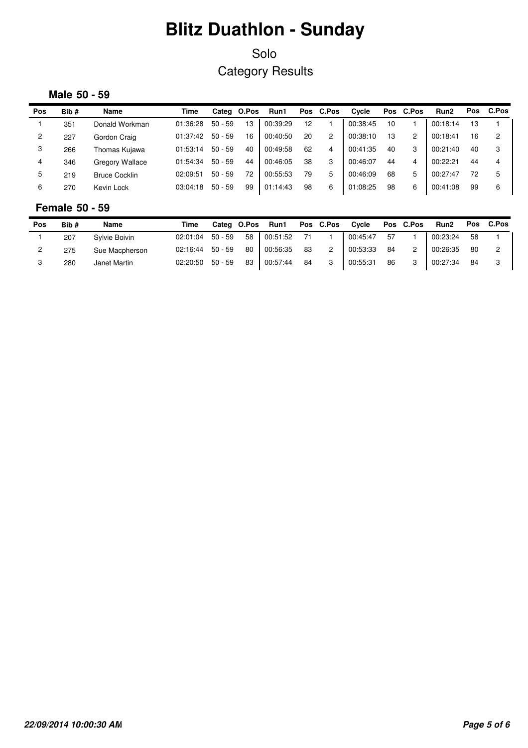### Solo Category Results

#### **Male 50 - 59**

| Pos | Bib# | Name                 | Time     |           | Categ O.Pos | Run1     |    | Pos C.Pos      | Cycle    |    | Pos C.Pos | Run <sub>2</sub> | <b>Pos</b> | C.Pos |
|-----|------|----------------------|----------|-----------|-------------|----------|----|----------------|----------|----|-----------|------------------|------------|-------|
|     | 351  | Donald Workman       | 01:36:28 | $50 - 59$ | 13          | 00:39:29 | 12 |                | 00:38:45 | 10 |           | 00:18:14         | 13         |       |
| 2   | 227  | Gordon Craig         | 01:37:42 | $50 - 59$ | 16          | 00:40:50 | 20 | $\overline{c}$ | 00:38:10 | 13 | 2         | 00:18:41         | 16         | 2     |
| 3   | 266  | Thomas Kujawa        | 01:53:14 | $50 - 59$ | 40          | 00:49:58 | 62 | 4              | 00:41:35 | 40 | 3         | 00:21:40         | 40         | 3     |
| 4   | 346  | Gregory Wallace      | 01:54:34 | $50 - 59$ | 44          | 00:46:05 | 38 | 3              | 00:46:07 | 44 | 4         | 00:22:21         | 44         | 4     |
| 5   | 219  | <b>Bruce Cocklin</b> | 02:09:51 | $50 - 59$ | 72          | 00:55:53 | 79 | 5              | 00:46:09 | 68 | 5         | 00:27:47         | 72         | 5     |
| 6   | 270  | Kevin Lock           | 03:04:18 | $50 - 59$ | 99          | 01:14:43 | 98 | 6              | 01:08:25 | 98 | 6         | 00:41:08         | 99         | 6     |

#### **Female 50 - 59**

| Pos | Bib# | Name           | Time     |         | Categ O.Pos | Run1     |    | Pos C.Pos | Cvcle    |    | Pos C.Pos      | Run <sub>2</sub> |    | Pos C.Pos |
|-----|------|----------------|----------|---------|-------------|----------|----|-----------|----------|----|----------------|------------------|----|-----------|
|     | 207  | Sylvie Boivin  | 02:01:04 | 50 - 59 | 58          | 00:51:52 |    |           | 00:45:47 | 57 |                | 00:23:24         | 58 |           |
|     | 275  | Sue Macpherson | 02:16:44 | 50 - 59 | 80          | 00:56:35 | 83 |           | 00:53:33 | 84 | $\overline{2}$ | 00:26:35         | 80 |           |
|     | 280  | Janet Martin   | 02:20:50 | 50 - 59 | 83          | 00:57:44 | 84 | 3         | 00:55:31 | 86 | 3              | 00:27:34         | 84 |           |